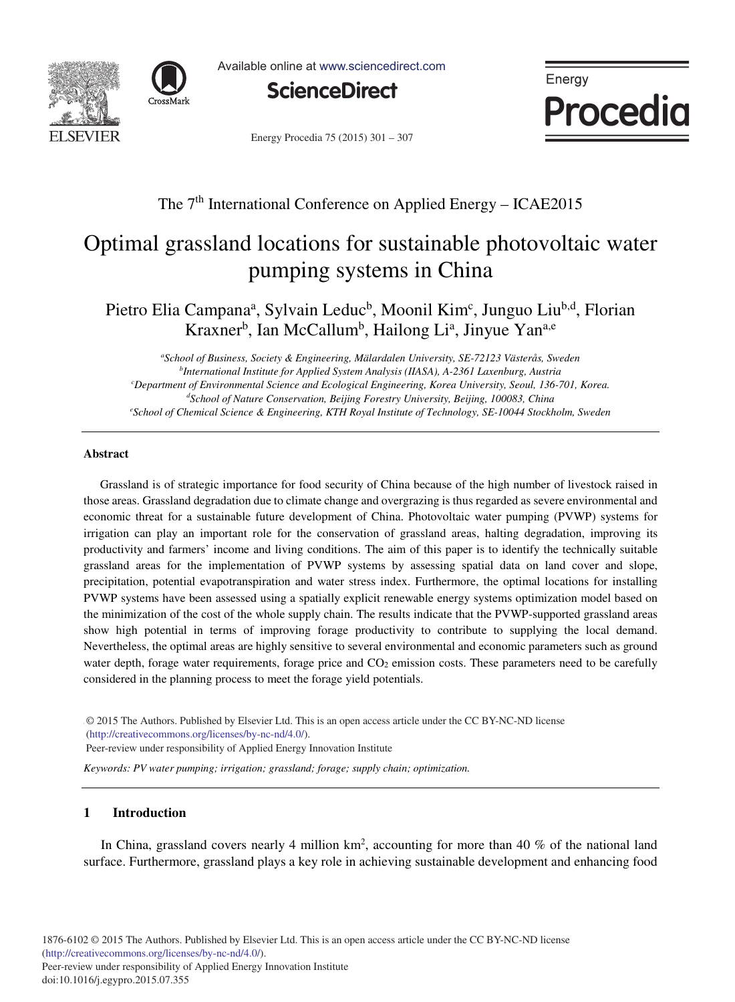



Available online at www.sciencedirect.com



Energy **Procedia** 

Energy Procedia 75 (2015) 301 - 307

# The  $7<sup>th</sup>$  International Conference on Applied Energy – ICAE2015

# Optimal grassland locations for sustainable photovoltaic water pumping systems in China

Pietro Elia Campana<sup>a</sup>, Sylvain Leduc<sup>b</sup>, Moonil Kim<sup>c</sup>, Junguo Liu<sup>b,d</sup>, Florian Kraxner<sup>b</sup>, Ian McCallum<sup>b</sup>, Hailong Li<sup>a</sup>, Jinyue Yan<sup>a,e</sup>

*a School of Business, Society & Engineering, Mälardalen University, SE-72123 Västerås, Sweden b International Institute for Applied System Analysis (IIASA), A-2361 Laxenburg, Austria c <sup>c</sup>Department of Environmental Science and Ecological Engineering, Korea University, Seoul, 136-701, Korea.* <sup>d</sup>School of Nature Conservation, Beijing Forestry University, Beijing, 100083, China *School of Chemical Science & Engineering, KTH Royal Institute of Technology, SE-10044 Stockholm, Sweden* 

#### **Abstract**

Grassland is of strategic importance for food security of China because of the high number of livestock raised in those areas. Grassland degradation due to climate change and overgrazing is thus regarded as severe environmental and economic threat for a sustainable future development of China. Photovoltaic water pumping (PVWP) systems for irrigation can play an important role for the conservation of grassland areas, halting degradation, improving its productivity and farmers' income and living conditions. The aim of this paper is to identify the technically suitable grassland areas for the implementation of PVWP systems by assessing spatial data on land cover and slope, precipitation, potential evapotranspiration and water stress index. Furthermore, the optimal locations for installing PVWP systems have been assessed using a spatially explicit renewable energy systems optimization model based on the minimization of the cost of the whole supply chain. The results indicate that the PVWP-supported grassland areas show high potential in terms of improving forage productivity to contribute to supplying the local demand. Nevertheless, the optimal areas are highly sensitive to several environmental and economic parameters such as ground water depth, forage water requirements, forage price and CO<sub>2</sub> emission costs. These parameters need to be carefully considered in the planning process to meet the forage yield potentials.

© 2015 The Authors. Published by Elsevier Ltd. © 2015 The Authors. Published by Elsevier Ltd. This is an open access article under the CC BY-NC-ND license (http://creativecommons.org/licenses/by-nc-nd/4.0/).

Peer-review under responsibility of Applied Energy Innovation Institute

*Keywords: PV water pumping; irrigation; grassland; forage; supply chain; optimization.* 

# **1 Introduction**

In China, grassland covers nearly 4 million  $km^2$ , accounting for more than 40 % of the national land surface. Furthermore, grassland plays a key role in achieving sustainable development and enhancing food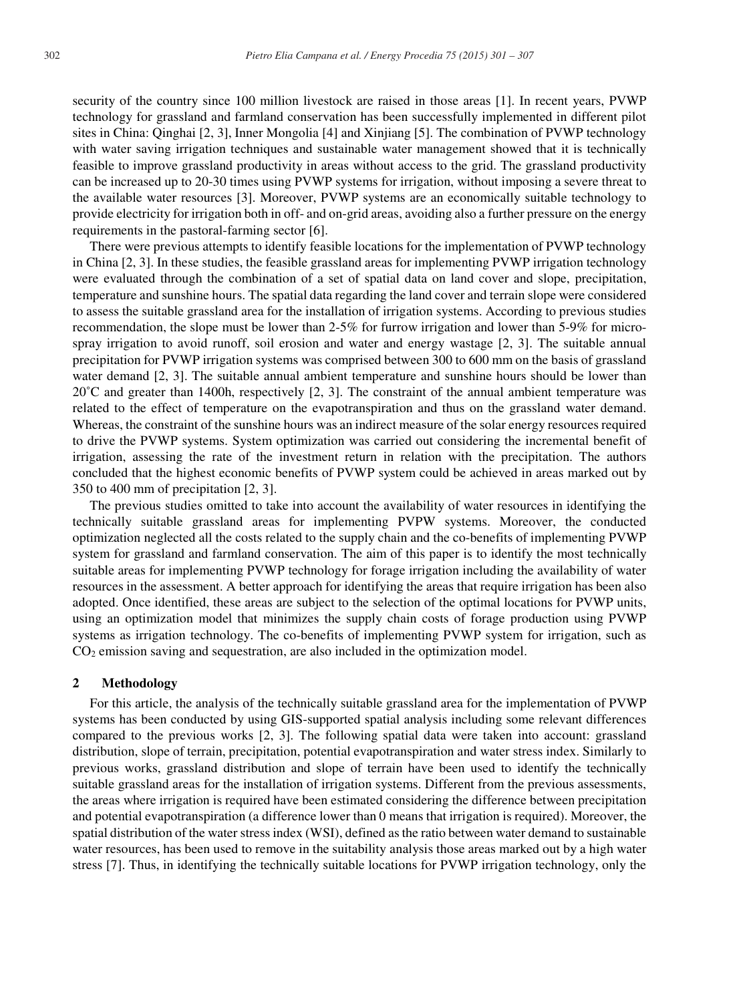security of the country since 100 million livestock are raised in those areas [1]. In recent years, PVWP technology for grassland and farmland conservation has been successfully implemented in different pilot sites in China: Qinghai [2, 3], Inner Mongolia [4] and Xinjiang [5]. The combination of PVWP technology with water saving irrigation techniques and sustainable water management showed that it is technically feasible to improve grassland productivity in areas without access to the grid. The grassland productivity can be increased up to 20-30 times using PVWP systems for irrigation, without imposing a severe threat to the available water resources [3]. Moreover, PVWP systems are an economically suitable technology to provide electricity for irrigation both in off- and on-grid areas, avoiding also a further pressure on the energy requirements in the pastoral-farming sector [6].

There were previous attempts to identify feasible locations for the implementation of PVWP technology in China [2, 3]. In these studies, the feasible grassland areas for implementing PVWP irrigation technology were evaluated through the combination of a set of spatial data on land cover and slope, precipitation, temperature and sunshine hours. The spatial data regarding the land cover and terrain slope were considered to assess the suitable grassland area for the installation of irrigation systems. According to previous studies recommendation, the slope must be lower than 2-5% for furrow irrigation and lower than 5-9% for microspray irrigation to avoid runoff, soil erosion and water and energy wastage [2, 3]. The suitable annual precipitation for PVWP irrigation systems was comprised between 300 to 600 mm on the basis of grassland water demand [2, 3]. The suitable annual ambient temperature and sunshine hours should be lower than 20˚C and greater than 1400h, respectively [2, 3]. The constraint of the annual ambient temperature was related to the effect of temperature on the evapotranspiration and thus on the grassland water demand. Whereas, the constraint of the sunshine hours was an indirect measure of the solar energy resources required to drive the PVWP systems. System optimization was carried out considering the incremental benefit of irrigation, assessing the rate of the investment return in relation with the precipitation. The authors concluded that the highest economic benefits of PVWP system could be achieved in areas marked out by 350 to 400 mm of precipitation [2, 3].

The previous studies omitted to take into account the availability of water resources in identifying the technically suitable grassland areas for implementing PVPW systems. Moreover, the conducted optimization neglected all the costs related to the supply chain and the co-benefits of implementing PVWP system for grassland and farmland conservation. The aim of this paper is to identify the most technically suitable areas for implementing PVWP technology for forage irrigation including the availability of water resources in the assessment. A better approach for identifying the areas that require irrigation has been also adopted. Once identified, these areas are subject to the selection of the optimal locations for PVWP units, using an optimization model that minimizes the supply chain costs of forage production using PVWP systems as irrigation technology. The co-benefits of implementing PVWP system for irrigation, such as CO2 emission saving and sequestration, are also included in the optimization model.

#### **2 Methodology**

For this article, the analysis of the technically suitable grassland area for the implementation of PVWP systems has been conducted by using GIS-supported spatial analysis including some relevant differences compared to the previous works [2, 3]. The following spatial data were taken into account: grassland distribution, slope of terrain, precipitation, potential evapotranspiration and water stress index. Similarly to previous works, grassland distribution and slope of terrain have been used to identify the technically suitable grassland areas for the installation of irrigation systems. Different from the previous assessments, the areas where irrigation is required have been estimated considering the difference between precipitation and potential evapotranspiration (a difference lower than 0 means that irrigation is required). Moreover, the spatial distribution of the water stress index (WSI), defined as the ratio between water demand to sustainable water resources, has been used to remove in the suitability analysis those areas marked out by a high water stress [7]. Thus, in identifying the technically suitable locations for PVWP irrigation technology, only the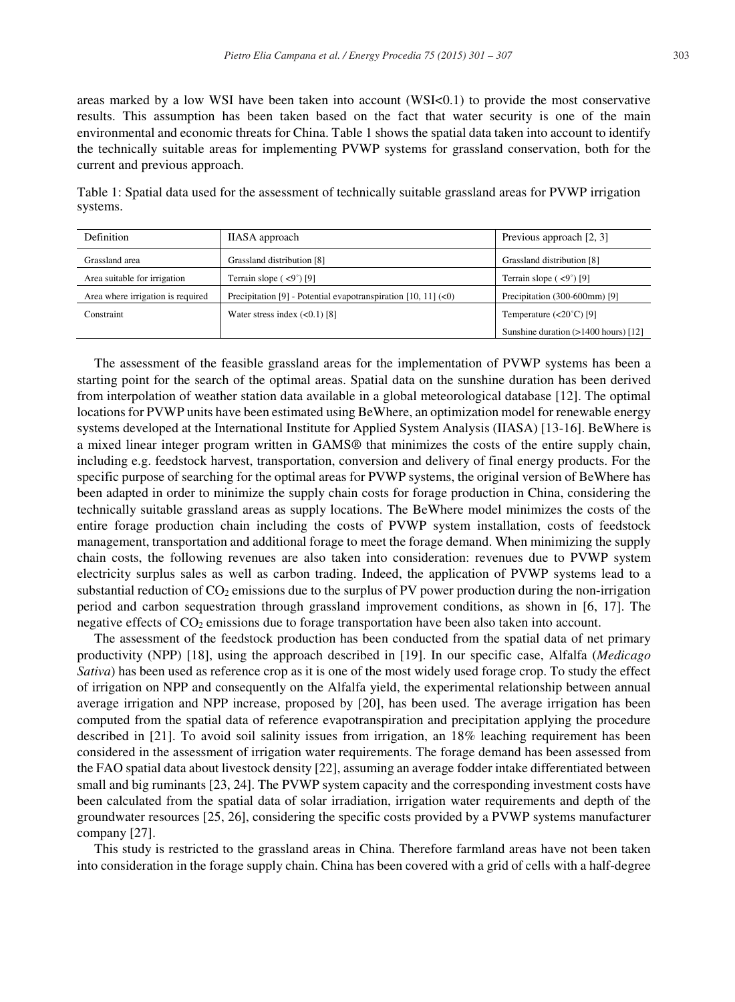areas marked by a low WSI have been taken into account (WSI<0.1) to provide the most conservative results. This assumption has been taken based on the fact that water security is one of the main environmental and economic threats for China. Table 1 shows the spatial data taken into account to identify the technically suitable areas for implementing PVWP systems for grassland conservation, both for the current and previous approach.

Table 1: Spatial data used for the assessment of technically suitable grassland areas for PVWP irrigation systems.

| <b>Definition</b>                 | IIASA approach                                                    | Previous approach [2, 3]               |
|-----------------------------------|-------------------------------------------------------------------|----------------------------------------|
| Grassland area                    | Grassland distribution [8]                                        | Grassland distribution [8]             |
| Area suitable for irrigation      | Terrain slope $(9^{\circ}) [9]$                                   | Terrain slope $(9^{\circ}) [9]$        |
| Area where irrigation is required | Precipitation [9] - Potential evapotranspiration [10, 11] $(<$ 0) | Precipitation (300-600mm) [9]          |
| Constraint                        | Water stress index $(<0.1)$ [8]                                   | Temperature $(<20^{\circ}C)$ [9]       |
|                                   |                                                                   | Sunshine duration $(>1400$ hours) [12] |

The assessment of the feasible grassland areas for the implementation of PVWP systems has been a starting point for the search of the optimal areas. Spatial data on the sunshine duration has been derived from interpolation of weather station data available in a global meteorological database [12]. The optimal locations for PVWP units have been estimated using BeWhere, an optimization model for renewable energy systems developed at the International Institute for Applied System Analysis (IIASA) [13-16]. BeWhere is a mixed linear integer program written in GAMS® that minimizes the costs of the entire supply chain, including e.g. feedstock harvest, transportation, conversion and delivery of final energy products. For the specific purpose of searching for the optimal areas for PVWP systems, the original version of BeWhere has been adapted in order to minimize the supply chain costs for forage production in China, considering the technically suitable grassland areas as supply locations. The BeWhere model minimizes the costs of the entire forage production chain including the costs of PVWP system installation, costs of feedstock management, transportation and additional forage to meet the forage demand. When minimizing the supply chain costs, the following revenues are also taken into consideration: revenues due to PVWP system electricity surplus sales as well as carbon trading. Indeed, the application of PVWP systems lead to a substantial reduction of  $CO<sub>2</sub>$  emissions due to the surplus of PV power production during the non-irrigation period and carbon sequestration through grassland improvement conditions, as shown in [6, 17]. The negative effects of  $CO<sub>2</sub>$  emissions due to forage transportation have been also taken into account.

The assessment of the feedstock production has been conducted from the spatial data of net primary productivity (NPP) [18], using the approach described in [19]. In our specific case, Alfalfa (*Medicago Sativa*) has been used as reference crop as it is one of the most widely used forage crop. To study the effect of irrigation on NPP and consequently on the Alfalfa yield, the experimental relationship between annual average irrigation and NPP increase, proposed by [20], has been used. The average irrigation has been computed from the spatial data of reference evapotranspiration and precipitation applying the procedure described in [21]. To avoid soil salinity issues from irrigation, an 18% leaching requirement has been considered in the assessment of irrigation water requirements. The forage demand has been assessed from the FAO spatial data about livestock density [22], assuming an average fodder intake differentiated between small and big ruminants [23, 24]. The PVWP system capacity and the corresponding investment costs have been calculated from the spatial data of solar irradiation, irrigation water requirements and depth of the groundwater resources [25, 26], considering the specific costs provided by a PVWP systems manufacturer company [27].

This study is restricted to the grassland areas in China. Therefore farmland areas have not been taken into consideration in the forage supply chain. China has been covered with a grid of cells with a half-degree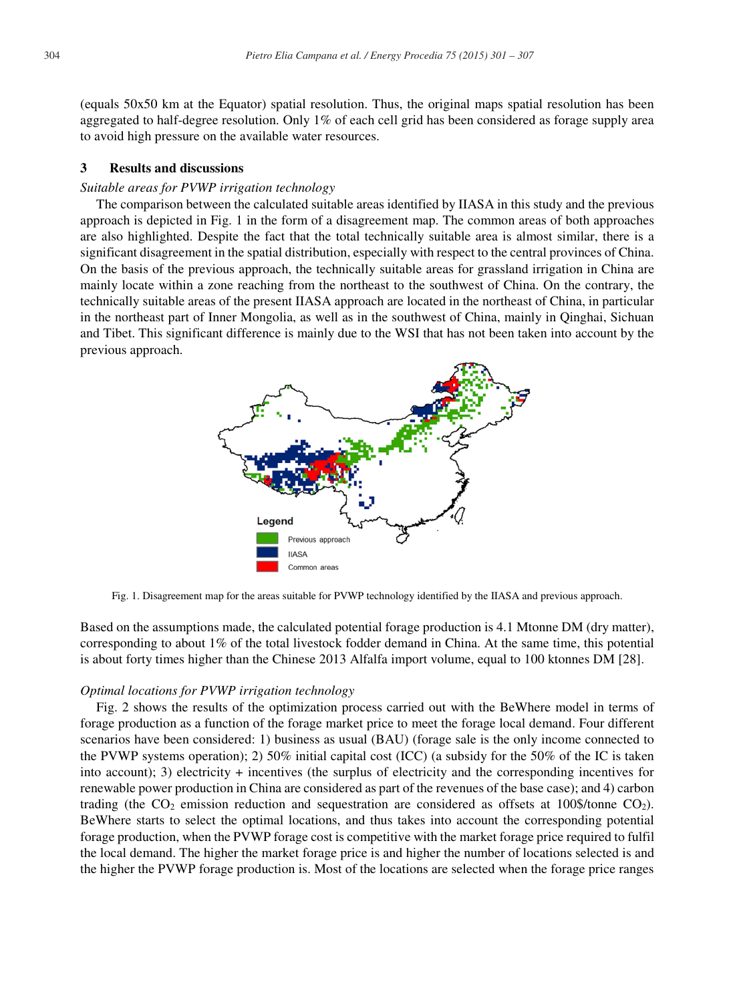(equals 50x50 km at the Equator) spatial resolution. Thus, the original maps spatial resolution has been aggregated to half-degree resolution. Only 1% of each cell grid has been considered as forage supply area to avoid high pressure on the available water resources.

## **3 Results and discussions**

### *Suitable areas for PVWP irrigation technology*

The comparison between the calculated suitable areas identified by IIASA in this study and the previous approach is depicted in Fig. 1 in the form of a disagreement map. The common areas of both approaches are also highlighted. Despite the fact that the total technically suitable area is almost similar, there is a significant disagreement in the spatial distribution, especially with respect to the central provinces of China. On the basis of the previous approach, the technically suitable areas for grassland irrigation in China are mainly locate within a zone reaching from the northeast to the southwest of China. On the contrary, the technically suitable areas of the present IIASA approach are located in the northeast of China, in particular in the northeast part of Inner Mongolia, as well as in the southwest of China, mainly in Qinghai, Sichuan and Tibet. This significant difference is mainly due to the WSI that has not been taken into account by the previous approach.



Fig. 1. Disagreement map for the areas suitable for PVWP technology identified by the IIASA and previous approach.

Based on the assumptions made, the calculated potential forage production is 4.1 Mtonne DM (dry matter), corresponding to about 1% of the total livestock fodder demand in China. At the same time, this potential is about forty times higher than the Chinese 2013 Alfalfa import volume, equal to 100 ktonnes DM [28].

## *Optimal locations for PVWP irrigation technology*

Fig. 2 shows the results of the optimization process carried out with the BeWhere model in terms of forage production as a function of the forage market price to meet the forage local demand. Four different scenarios have been considered: 1) business as usual (BAU) (forage sale is the only income connected to the PVWP systems operation); 2) 50% initial capital cost (ICC) (a subsidy for the 50% of the IC is taken into account); 3) electricity + incentives (the surplus of electricity and the corresponding incentives for renewable power production in China are considered as part of the revenues of the base case); and 4) carbon trading (the  $CO<sub>2</sub>$  emission reduction and sequestration are considered as offsets at 100\$/tonne  $CO<sub>2</sub>$ ). BeWhere starts to select the optimal locations, and thus takes into account the corresponding potential forage production, when the PVWP forage cost is competitive with the market forage price required to fulfil the local demand. The higher the market forage price is and higher the number of locations selected is and the higher the PVWP forage production is. Most of the locations are selected when the forage price ranges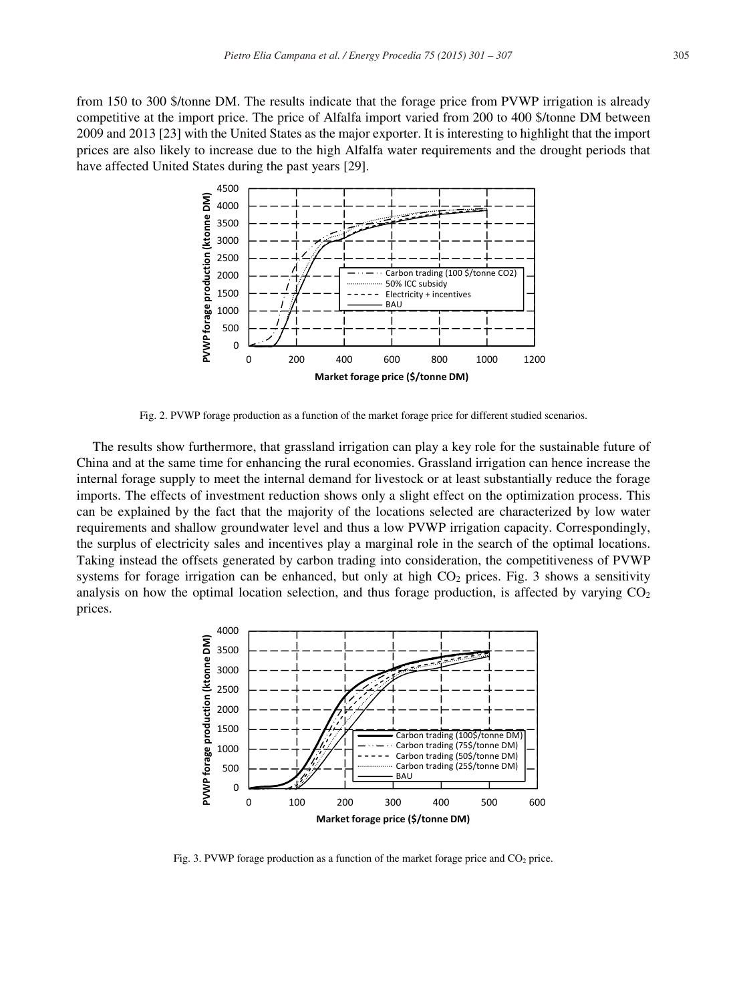from 150 to 300 \$/tonne DM. The results indicate that the forage price from PVWP irrigation is already competitive at the import price. The price of Alfalfa import varied from 200 to 400 \$/tonne DM between 2009 and 2013 [23] with the United States as the major exporter. It is interesting to highlight that the import prices are also likely to increase due to the high Alfalfa water requirements and the drought periods that have affected United States during the past years [29].



Fig. 2. PVWP forage production as a function of the market forage price for different studied scenarios.

The results show furthermore, that grassland irrigation can play a key role for the sustainable future of China and at the same time for enhancing the rural economies. Grassland irrigation can hence increase the internal forage supply to meet the internal demand for livestock or at least substantially reduce the forage imports. The effects of investment reduction shows only a slight effect on the optimization process. This can be explained by the fact that the majority of the locations selected are characterized by low water requirements and shallow groundwater level and thus a low PVWP irrigation capacity. Correspondingly, the surplus of electricity sales and incentives play a marginal role in the search of the optimal locations. Taking instead the offsets generated by carbon trading into consideration, the competitiveness of PVWP systems for forage irrigation can be enhanced, but only at high  $CO<sub>2</sub>$  prices. Fig. 3 shows a sensitivity analysis on how the optimal location selection, and thus forage production, is affected by varying  $CO<sub>2</sub>$ prices.



Fig. 3. PVWP forage production as a function of the market forage price and  $CO<sub>2</sub>$  price.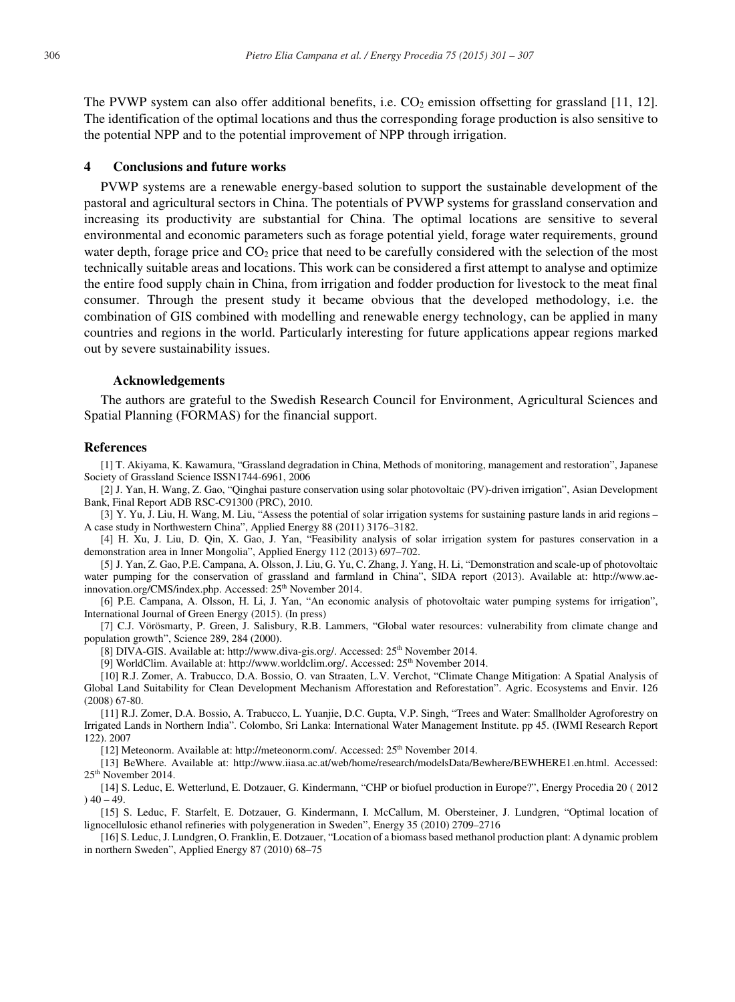The PVWP system can also offer additional benefits, i.e.  $CO<sub>2</sub>$  emission offsetting for grassland [11, 12]. The identification of the optimal locations and thus the corresponding forage production is also sensitive to the potential NPP and to the potential improvement of NPP through irrigation.

#### **4 Conclusions and future works**

PVWP systems are a renewable energy-based solution to support the sustainable development of the pastoral and agricultural sectors in China. The potentials of PVWP systems for grassland conservation and increasing its productivity are substantial for China. The optimal locations are sensitive to several environmental and economic parameters such as forage potential yield, forage water requirements, ground water depth, forage price and CO<sub>2</sub> price that need to be carefully considered with the selection of the most technically suitable areas and locations. This work can be considered a first attempt to analyse and optimize the entire food supply chain in China, from irrigation and fodder production for livestock to the meat final consumer. Through the present study it became obvious that the developed methodology, i.e. the combination of GIS combined with modelling and renewable energy technology, can be applied in many countries and regions in the world. Particularly interesting for future applications appear regions marked out by severe sustainability issues.

#### **Acknowledgements**

The authors are grateful to the Swedish Research Council for Environment, Agricultural Sciences and Spatial Planning (FORMAS) for the financial support.

#### **References**

[1] T. Akiyama, K. Kawamura, "Grassland degradation in China, Methods of monitoring, management and restoration", Japanese Society of Grassland Science ISSN1744-6961, 2006

[2] J. Yan, H. Wang, Z. Gao, "Qinghai pasture conservation using solar photovoltaic (PV)-driven irrigation", Asian Development Bank, Final Report ADB RSC-C91300 (PRC), 2010.

[3] Y. Yu, J. Liu, H. Wang, M. Liu, "Assess the potential of solar irrigation systems for sustaining pasture lands in arid regions – A case study in Northwestern China", Applied Energy 88 (2011) 3176–3182.

[4] H. Xu, J. Liu, D. Qin, X. Gao, J. Yan, "Feasibility analysis of solar irrigation system for pastures conservation in a demonstration area in Inner Mongolia", Applied Energy 112 (2013) 697–702.

[5] J. Yan, Z. Gao, P.E. Campana, A. Olsson, J. Liu, G. Yu, C. Zhang, J. Yang, H. Li, "Demonstration and scale-up of photovoltaic water pumping for the conservation of grassland and farmland in China", SIDA report (2013). Available at: http://www.aeinnovation.org/CMS/index.php. Accessed: 25<sup>th</sup> November 2014.

[6] P.E. Campana, A. Olsson, H. Li, J. Yan, "An economic analysis of photovoltaic water pumping systems for irrigation", International Journal of Green Energy (2015). (In press)

[7] C.J. Vörösmarty, P. Green, J. Salisbury, R.B. Lammers, "Global water resources: vulnerability from climate change and population growth", Science 289, 284 (2000).

[8] DIVA-GIS. Available at: http://www.diva-gis.org/. Accessed: 25<sup>th</sup> November 2014.

[9] WorldClim. Available at: http://www.worldclim.org/. Accessed: 25<sup>th</sup> November 2014.

[10] R.J. Zomer, A. Trabucco, D.A. Bossio, O. van Straaten, L.V. Verchot, "Climate Change Mitigation: A Spatial Analysis of Global Land Suitability for Clean Development Mechanism Afforestation and Reforestation". Agric. Ecosystems and Envir. 126 (2008) 67-80.

[11] R.J. Zomer, D.A. Bossio, A. Trabucco, L. Yuanjie, D.C. Gupta, V.P. Singh, "Trees and Water: Smallholder Agroforestry on Irrigated Lands in Northern India". Colombo, Sri Lanka: International Water Management Institute. pp 45. (IWMI Research Report 122). 2007

[12] Meteonorm. Available at: http://meteonorm.com/. Accessed: 25<sup>th</sup> November 2014.

[13] BeWhere. Available at: http://www.iiasa.ac.at/web/home/research/modelsData/Bewhere/BEWHERE1.en.html. Accessed: 25th November 2014.

[14] S. Leduc, E. Wetterlund, E. Dotzauer, G. Kindermann, "CHP or biofuel production in Europe?", Energy Procedia 20 ( 2012  $)$  40 – 49.

[15] S. Leduc, F. Starfelt, E. Dotzauer, G. Kindermann, I. McCallum, M. Obersteiner, J. Lundgren, "Optimal location of lignocellulosic ethanol refineries with polygeneration in Sweden", Energy 35 (2010) 2709–2716

[16] S. Leduc, J. Lundgren, O. Franklin, E. Dotzauer, "Location of a biomass based methanol production plant: A dynamic problem in northern Sweden", Applied Energy 87 (2010) 68–75